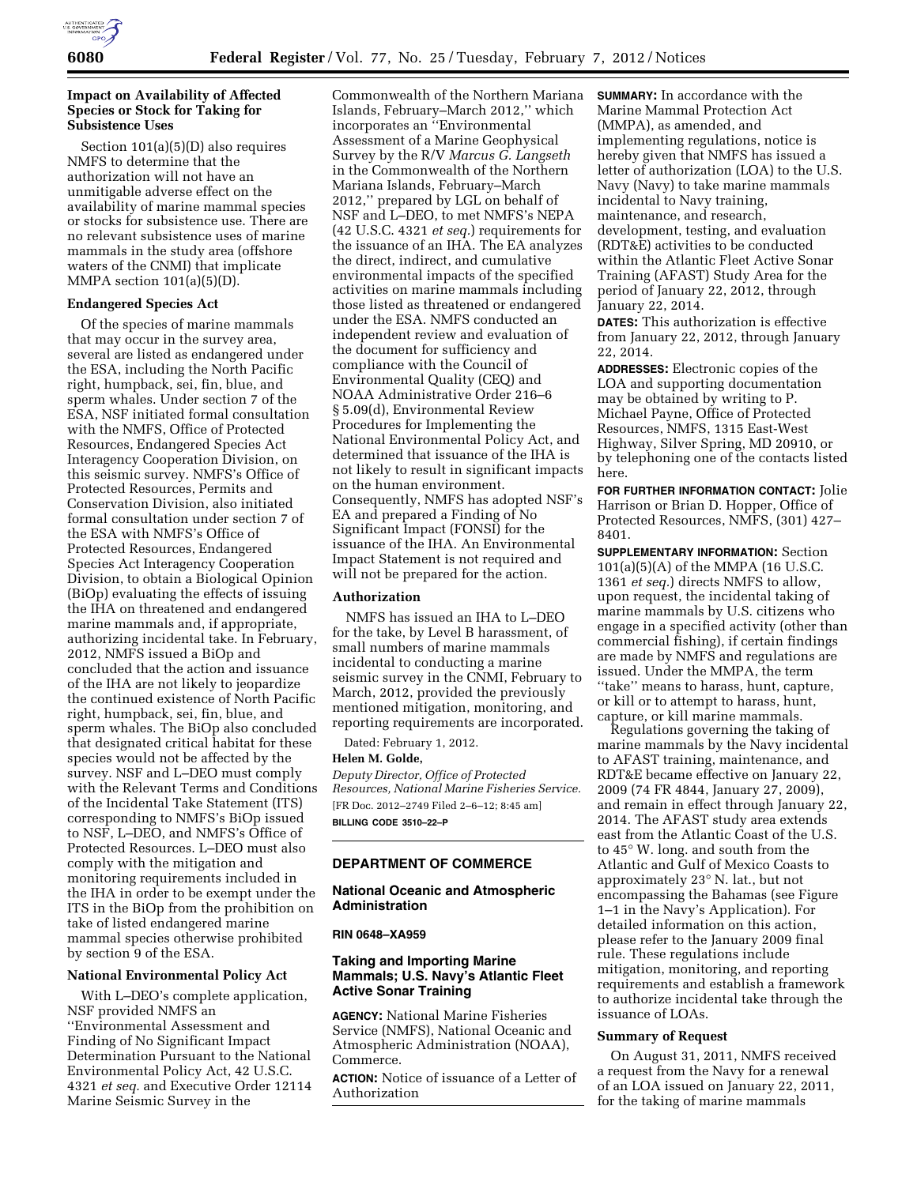

## **Impact on Availability of Affected Species or Stock for Taking for Subsistence Uses**

Section 101(a)(5)(D) also requires NMFS to determine that the authorization will not have an unmitigable adverse effect on the availability of marine mammal species or stocks for subsistence use. There are no relevant subsistence uses of marine mammals in the study area (offshore waters of the CNMI) that implicate MMPA section  $101(a)(5)(D)$ .

### **Endangered Species Act**

Of the species of marine mammals that may occur in the survey area, several are listed as endangered under the ESA, including the North Pacific right, humpback, sei, fin, blue, and sperm whales. Under section 7 of the ESA, NSF initiated formal consultation with the NMFS, Office of Protected Resources, Endangered Species Act Interagency Cooperation Division, on this seismic survey. NMFS's Office of Protected Resources, Permits and Conservation Division, also initiated formal consultation under section 7 of the ESA with NMFS's Office of Protected Resources, Endangered Species Act Interagency Cooperation Division, to obtain a Biological Opinion (BiOp) evaluating the effects of issuing the IHA on threatened and endangered marine mammals and, if appropriate, authorizing incidental take. In February, 2012, NMFS issued a BiOp and concluded that the action and issuance of the IHA are not likely to jeopardize the continued existence of North Pacific right, humpback, sei, fin, blue, and sperm whales. The BiOp also concluded that designated critical habitat for these species would not be affected by the survey. NSF and L–DEO must comply with the Relevant Terms and Conditions of the Incidental Take Statement (ITS) corresponding to NMFS's BiOp issued to NSF, L–DEO, and NMFS's Office of Protected Resources. L–DEO must also comply with the mitigation and monitoring requirements included in the IHA in order to be exempt under the ITS in the BiOp from the prohibition on take of listed endangered marine mammal species otherwise prohibited by section 9 of the ESA.

# **National Environmental Policy Act**

With L–DEO's complete application, NSF provided NMFS an ''Environmental Assessment and Finding of No Significant Impact Determination Pursuant to the National Environmental Policy Act, 42 U.S.C. 4321 *et seq.* and Executive Order 12114 Marine Seismic Survey in the

Commonwealth of the Northern Mariana Islands, February–March 2012,'' which incorporates an ''Environmental Assessment of a Marine Geophysical Survey by the R/V *Marcus G. Langseth*  in the Commonwealth of the Northern Mariana Islands, February–March 2012,'' prepared by LGL on behalf of NSF and L–DEO, to met NMFS's NEPA (42 U.S.C. 4321 *et seq.*) requirements for the issuance of an IHA. The EA analyzes the direct, indirect, and cumulative environmental impacts of the specified activities on marine mammals including those listed as threatened or endangered under the ESA. NMFS conducted an independent review and evaluation of the document for sufficiency and compliance with the Council of Environmental Quality (CEQ) and NOAA Administrative Order 216–6 § 5.09(d), Environmental Review Procedures for Implementing the National Environmental Policy Act, and determined that issuance of the IHA is not likely to result in significant impacts on the human environment. Consequently, NMFS has adopted NSF's EA and prepared a Finding of No Significant Impact (FONSI) for the issuance of the IHA. An Environmental Impact Statement is not required and will not be prepared for the action.

# **Authorization**

NMFS has issued an IHA to L–DEO for the take, by Level B harassment, of small numbers of marine mammals incidental to conducting a marine seismic survey in the CNMI, February to March, 2012, provided the previously mentioned mitigation, monitoring, and reporting requirements are incorporated.

Dated: February 1, 2012.

#### **Helen M. Golde,**

*Deputy Director, Office of Protected Resources, National Marine Fisheries Service.*  [FR Doc. 2012–2749 Filed 2–6–12; 8:45 am] **BILLING CODE 3510–22–P** 

## **DEPARTMENT OF COMMERCE**

## **National Oceanic and Atmospheric Administration**

### **RIN 0648–XA959**

# **Taking and Importing Marine Mammals; U.S. Navy's Atlantic Fleet Active Sonar Training**

**AGENCY:** National Marine Fisheries Service (NMFS), National Oceanic and Atmospheric Administration (NOAA), Commerce.

**ACTION:** Notice of issuance of a Letter of Authorization

**SUMMARY:** In accordance with the Marine Mammal Protection Act (MMPA), as amended, and implementing regulations, notice is hereby given that NMFS has issued a letter of authorization (LOA) to the U.S. Navy (Navy) to take marine mammals incidental to Navy training, maintenance, and research, development, testing, and evaluation (RDT&E) activities to be conducted within the Atlantic Fleet Active Sonar Training (AFAST) Study Area for the period of January 22, 2012, through January 22, 2014.

**DATES:** This authorization is effective from January 22, 2012, through January 22, 2014.

**ADDRESSES:** Electronic copies of the LOA and supporting documentation may be obtained by writing to P. Michael Payne, Office of Protected Resources, NMFS, 1315 East-West Highway, Silver Spring, MD 20910, or by telephoning one of the contacts listed here.

**FOR FURTHER INFORMATION CONTACT:** Jolie Harrison or Brian D. Hopper, Office of Protected Resources, NMFS, (301) 427– 8401.

**SUPPLEMENTARY INFORMATION:** Section 101(a)(5)(A) of the MMPA (16 U.S.C. 1361 *et seq.*) directs NMFS to allow, upon request, the incidental taking of marine mammals by U.S. citizens who engage in a specified activity (other than commercial fishing), if certain findings are made by NMFS and regulations are issued. Under the MMPA, the term ''take'' means to harass, hunt, capture, or kill or to attempt to harass, hunt, capture, or kill marine mammals.

Regulations governing the taking of marine mammals by the Navy incidental to AFAST training, maintenance, and RDT&E became effective on January 22, 2009 (74 FR 4844, January 27, 2009), and remain in effect through January 22, 2014. The AFAST study area extends east from the Atlantic Coast of the U.S. to 45° W. long. and south from the Atlantic and Gulf of Mexico Coasts to approximately 23° N. lat., but not encompassing the Bahamas (see Figure 1–1 in the Navy's Application). For detailed information on this action, please refer to the January 2009 final rule. These regulations include mitigation, monitoring, and reporting requirements and establish a framework to authorize incidental take through the issuance of LOAs.

#### **Summary of Request**

On August 31, 2011, NMFS received a request from the Navy for a renewal of an LOA issued on January 22, 2011, for the taking of marine mammals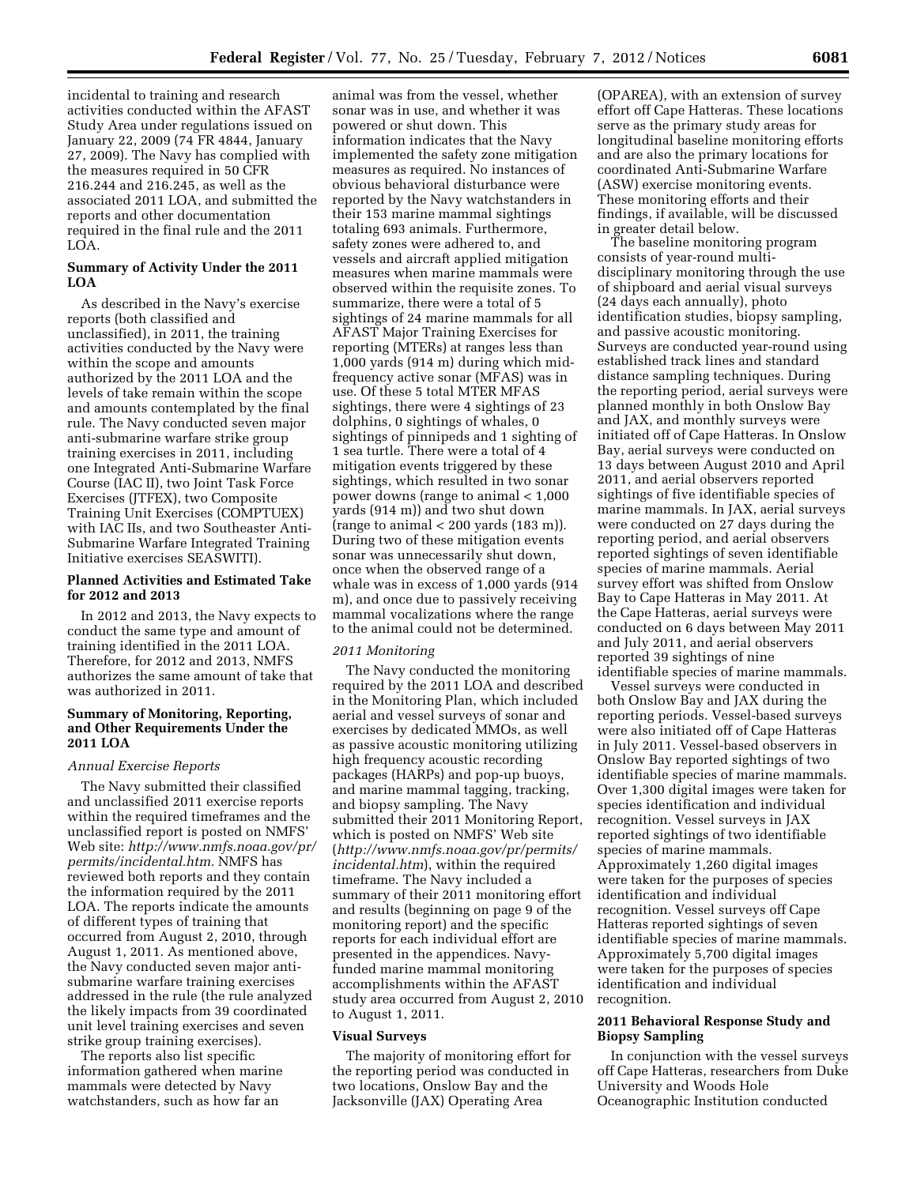incidental to training and research activities conducted within the AFAST Study Area under regulations issued on January 22, 2009 (74 FR 4844, January 27, 2009). The Navy has complied with the measures required in 50 CFR 216.244 and 216.245, as well as the associated 2011 LOA, and submitted the reports and other documentation required in the final rule and the 2011 LOA.

# **Summary of Activity Under the 2011 LOA**

As described in the Navy's exercise reports (both classified and unclassified), in 2011, the training activities conducted by the Navy were within the scope and amounts authorized by the 2011 LOA and the levels of take remain within the scope and amounts contemplated by the final rule. The Navy conducted seven major anti-submarine warfare strike group training exercises in 2011, including one Integrated Anti-Submarine Warfare Course (IAC II), two Joint Task Force Exercises (JTFEX), two Composite Training Unit Exercises (COMPTUEX) with IAC IIs, and two Southeaster Anti-Submarine Warfare Integrated Training Initiative exercises SEASWITI).

# **Planned Activities and Estimated Take for 2012 and 2013**

In 2012 and 2013, the Navy expects to conduct the same type and amount of training identified in the 2011 LOA. Therefore, for 2012 and 2013, NMFS authorizes the same amount of take that was authorized in 2011.

# **Summary of Monitoring, Reporting, and Other Requirements Under the 2011 LOA**

#### *Annual Exercise Reports*

The Navy submitted their classified and unclassified 2011 exercise reports within the required timeframes and the unclassified report is posted on NMFS' Web site: *[http://www.nmfs.noaa.gov/pr/](http://www.nmfs.noaa.gov/pr/permits/incidental.htm) [permits/incidental.htm.](http://www.nmfs.noaa.gov/pr/permits/incidental.htm)* NMFS has reviewed both reports and they contain the information required by the 2011 LOA. The reports indicate the amounts of different types of training that occurred from August 2, 2010, through August 1, 2011. As mentioned above, the Navy conducted seven major antisubmarine warfare training exercises addressed in the rule (the rule analyzed the likely impacts from 39 coordinated unit level training exercises and seven strike group training exercises).

The reports also list specific information gathered when marine mammals were detected by Navy watchstanders, such as how far an

animal was from the vessel, whether sonar was in use, and whether it was powered or shut down. This information indicates that the Navy implemented the safety zone mitigation measures as required. No instances of obvious behavioral disturbance were reported by the Navy watchstanders in their 153 marine mammal sightings totaling 693 animals. Furthermore, safety zones were adhered to, and vessels and aircraft applied mitigation measures when marine mammals were observed within the requisite zones. To summarize, there were a total of 5 sightings of 24 marine mammals for all AFAST Major Training Exercises for reporting (MTERs) at ranges less than 1,000 yards (914 m) during which midfrequency active sonar (MFAS) was in use. Of these 5 total MTER MFAS sightings, there were 4 sightings of 23 dolphins, 0 sightings of whales, 0 sightings of pinnipeds and 1 sighting of 1 sea turtle. There were a total of 4 mitigation events triggered by these sightings, which resulted in two sonar power downs (range to animal < 1,000 yards (914 m)) and two shut down (range to animal  $< 200$  yards  $(183 \text{ m})$ ). During two of these mitigation events sonar was unnecessarily shut down, once when the observed range of a whale was in excess of 1,000 yards (914 m), and once due to passively receiving mammal vocalizations where the range to the animal could not be determined.

#### *2011 Monitoring*

The Navy conducted the monitoring required by the 2011 LOA and described in the Monitoring Plan, which included aerial and vessel surveys of sonar and exercises by dedicated MMOs, as well as passive acoustic monitoring utilizing high frequency acoustic recording packages (HARPs) and pop-up buoys, and marine mammal tagging, tracking, and biopsy sampling. The Navy submitted their 2011 Monitoring Report, which is posted on NMFS' Web site (*[http://www.nmfs.noaa.gov/pr/permits/](http://www.nmfs.noaa.gov/pr/permits/incidental.htm)  [incidental.htm](http://www.nmfs.noaa.gov/pr/permits/incidental.htm)*), within the required timeframe. The Navy included a summary of their 2011 monitoring effort and results (beginning on page 9 of the monitoring report) and the specific reports for each individual effort are presented in the appendices. Navyfunded marine mammal monitoring accomplishments within the AFAST study area occurred from August 2, 2010 to August 1, 2011.

#### **Visual Surveys**

The majority of monitoring effort for the reporting period was conducted in two locations, Onslow Bay and the Jacksonville (JAX) Operating Area

(OPAREA), with an extension of survey effort off Cape Hatteras. These locations serve as the primary study areas for longitudinal baseline monitoring efforts and are also the primary locations for coordinated Anti-Submarine Warfare (ASW) exercise monitoring events. These monitoring efforts and their findings, if available, will be discussed in greater detail below.

The baseline monitoring program consists of year-round multidisciplinary monitoring through the use of shipboard and aerial visual surveys (24 days each annually), photo identification studies, biopsy sampling, and passive acoustic monitoring. Surveys are conducted year-round using established track lines and standard distance sampling techniques. During the reporting period, aerial surveys were planned monthly in both Onslow Bay and JAX, and monthly surveys were initiated off of Cape Hatteras. In Onslow Bay, aerial surveys were conducted on 13 days between August 2010 and April 2011, and aerial observers reported sightings of five identifiable species of marine mammals. In JAX, aerial surveys were conducted on 27 days during the reporting period, and aerial observers reported sightings of seven identifiable species of marine mammals. Aerial survey effort was shifted from Onslow Bay to Cape Hatteras in May 2011. At the Cape Hatteras, aerial surveys were conducted on 6 days between May 2011 and July 2011, and aerial observers reported 39 sightings of nine identifiable species of marine mammals.

Vessel surveys were conducted in both Onslow Bay and JAX during the reporting periods. Vessel-based surveys were also initiated off of Cape Hatteras in July 2011. Vessel-based observers in Onslow Bay reported sightings of two identifiable species of marine mammals. Over 1,300 digital images were taken for species identification and individual recognition. Vessel surveys in JAX reported sightings of two identifiable species of marine mammals. Approximately 1,260 digital images were taken for the purposes of species identification and individual recognition. Vessel surveys off Cape Hatteras reported sightings of seven identifiable species of marine mammals. Approximately 5,700 digital images were taken for the purposes of species identification and individual recognition.

## **2011 Behavioral Response Study and Biopsy Sampling**

In conjunction with the vessel surveys off Cape Hatteras, researchers from Duke University and Woods Hole Oceanographic Institution conducted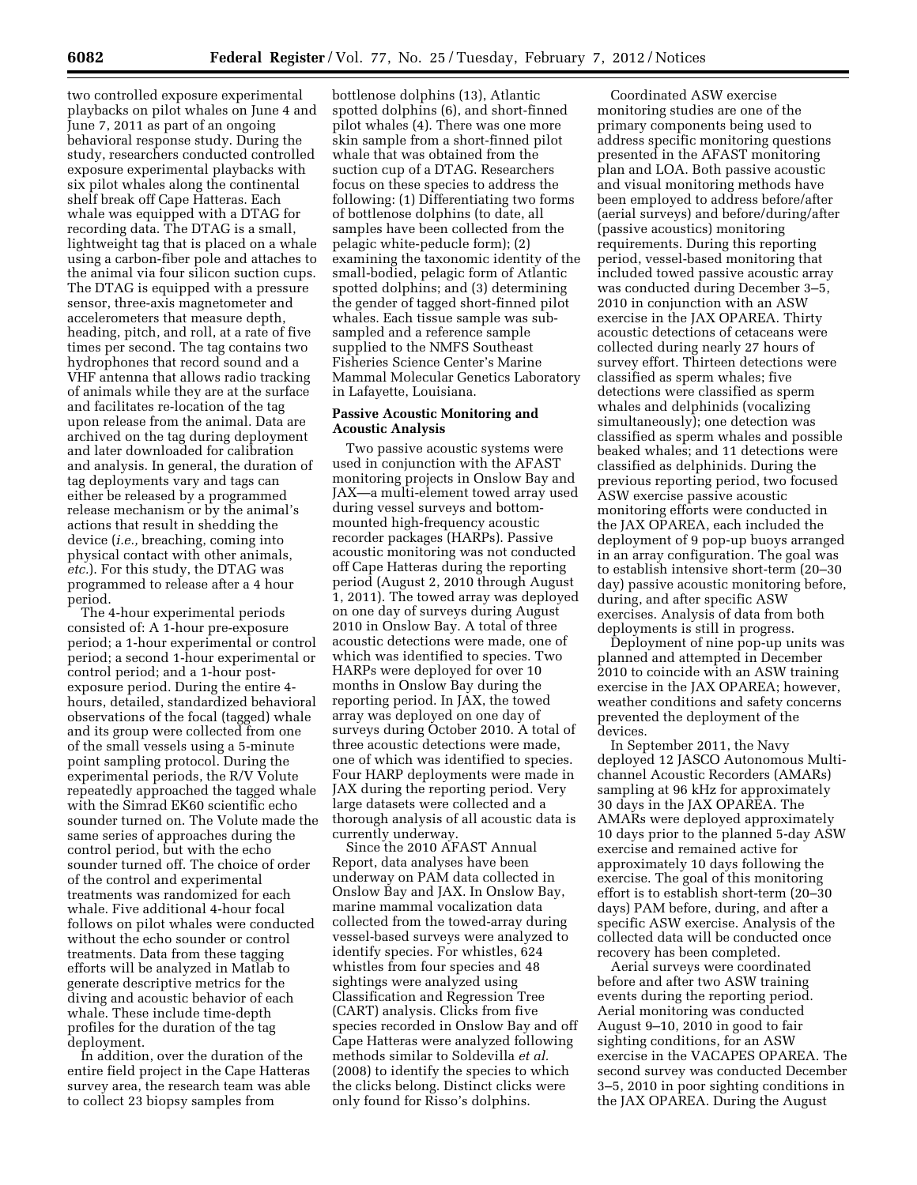two controlled exposure experimental playbacks on pilot whales on June 4 and June 7, 2011 as part of an ongoing behavioral response study. During the study, researchers conducted controlled exposure experimental playbacks with six pilot whales along the continental shelf break off Cape Hatteras. Each whale was equipped with a DTAG for recording data. The DTAG is a small, lightweight tag that is placed on a whale using a carbon-fiber pole and attaches to the animal via four silicon suction cups. The DTAG is equipped with a pressure sensor, three-axis magnetometer and accelerometers that measure depth, heading, pitch, and roll, at a rate of five times per second. The tag contains two hydrophones that record sound and a VHF antenna that allows radio tracking of animals while they are at the surface and facilitates re-location of the tag upon release from the animal. Data are archived on the tag during deployment and later downloaded for calibration and analysis. In general, the duration of tag deployments vary and tags can either be released by a programmed release mechanism or by the animal's actions that result in shedding the device (*i.e.,* breaching, coming into physical contact with other animals, *etc.*). For this study, the DTAG was programmed to release after a 4 hour period.

The 4-hour experimental periods consisted of: A 1-hour pre-exposure period; a 1-hour experimental or control period; a second 1-hour experimental or control period; and a 1-hour postexposure period. During the entire 4 hours, detailed, standardized behavioral observations of the focal (tagged) whale and its group were collected from one of the small vessels using a 5-minute point sampling protocol. During the experimental periods, the R/V Volute repeatedly approached the tagged whale with the Simrad EK60 scientific echo sounder turned on. The Volute made the same series of approaches during the control period, but with the echo sounder turned off. The choice of order of the control and experimental treatments was randomized for each whale. Five additional 4-hour focal follows on pilot whales were conducted without the echo sounder or control treatments. Data from these tagging efforts will be analyzed in Matlab to generate descriptive metrics for the diving and acoustic behavior of each whale. These include time-depth profiles for the duration of the tag deployment.

In addition, over the duration of the entire field project in the Cape Hatteras survey area, the research team was able to collect 23 biopsy samples from

bottlenose dolphins (13), Atlantic spotted dolphins (6), and short-finned pilot whales (4). There was one more skin sample from a short-finned pilot whale that was obtained from the suction cup of a DTAG. Researchers focus on these species to address the following: (1) Differentiating two forms of bottlenose dolphins (to date, all samples have been collected from the pelagic white-peducle form); (2) examining the taxonomic identity of the small-bodied, pelagic form of Atlantic spotted dolphins; and (3) determining the gender of tagged short-finned pilot whales. Each tissue sample was subsampled and a reference sample supplied to the NMFS Southeast Fisheries Science Center's Marine Mammal Molecular Genetics Laboratory in Lafayette, Louisiana.

### **Passive Acoustic Monitoring and Acoustic Analysis**

Two passive acoustic systems were used in conjunction with the AFAST monitoring projects in Onslow Bay and JAX—a multi-element towed array used during vessel surveys and bottommounted high-frequency acoustic recorder packages (HARPs). Passive acoustic monitoring was not conducted off Cape Hatteras during the reporting period (August 2, 2010 through August 1, 2011). The towed array was deployed on one day of surveys during August 2010 in Onslow Bay. A total of three acoustic detections were made, one of which was identified to species. Two HARPs were deployed for over 10 months in Onslow Bay during the reporting period. In JAX, the towed array was deployed on one day of surveys during October 2010. A total of three acoustic detections were made, one of which was identified to species. Four HARP deployments were made in JAX during the reporting period. Very large datasets were collected and a thorough analysis of all acoustic data is currently underway.

Since the 2010 AFAST Annual Report, data analyses have been underway on PAM data collected in Onslow Bay and JAX. In Onslow Bay, marine mammal vocalization data collected from the towed-array during vessel-based surveys were analyzed to identify species. For whistles, 624 whistles from four species and 48 sightings were analyzed using Classification and Regression Tree (CART) analysis. Clicks from five species recorded in Onslow Bay and off Cape Hatteras were analyzed following methods similar to Soldevilla *et al.*  (2008) to identify the species to which the clicks belong. Distinct clicks were only found for Risso's dolphins.

Coordinated ASW exercise monitoring studies are one of the primary components being used to address specific monitoring questions presented in the AFAST monitoring plan and LOA. Both passive acoustic and visual monitoring methods have been employed to address before/after (aerial surveys) and before/during/after (passive acoustics) monitoring requirements. During this reporting period, vessel-based monitoring that included towed passive acoustic array was conducted during December 3–5, 2010 in conjunction with an ASW exercise in the JAX OPAREA. Thirty acoustic detections of cetaceans were collected during nearly 27 hours of survey effort. Thirteen detections were classified as sperm whales; five detections were classified as sperm whales and delphinids (vocalizing simultaneously); one detection was classified as sperm whales and possible beaked whales; and 11 detections were classified as delphinids. During the previous reporting period, two focused ASW exercise passive acoustic monitoring efforts were conducted in the JAX OPAREA, each included the deployment of 9 pop-up buoys arranged in an array configuration. The goal was to establish intensive short-term (20–30 day) passive acoustic monitoring before, during, and after specific ASW exercises. Analysis of data from both deployments is still in progress.

Deployment of nine pop-up units was planned and attempted in December 2010 to coincide with an ASW training exercise in the JAX OPAREA; however, weather conditions and safety concerns prevented the deployment of the devices.

In September 2011, the Navy deployed 12 JASCO Autonomous Multichannel Acoustic Recorders (AMARs) sampling at 96 kHz for approximately 30 days in the JAX OPAREA. The AMARs were deployed approximately 10 days prior to the planned 5-day ASW exercise and remained active for approximately 10 days following the exercise. The goal of this monitoring effort is to establish short-term (20–30 days) PAM before, during, and after a specific ASW exercise. Analysis of the collected data will be conducted once recovery has been completed.

Aerial surveys were coordinated before and after two ASW training events during the reporting period. Aerial monitoring was conducted August 9–10, 2010 in good to fair sighting conditions, for an ASW exercise in the VACAPES OPAREA. The second survey was conducted December 3–5, 2010 in poor sighting conditions in the JAX OPAREA. During the August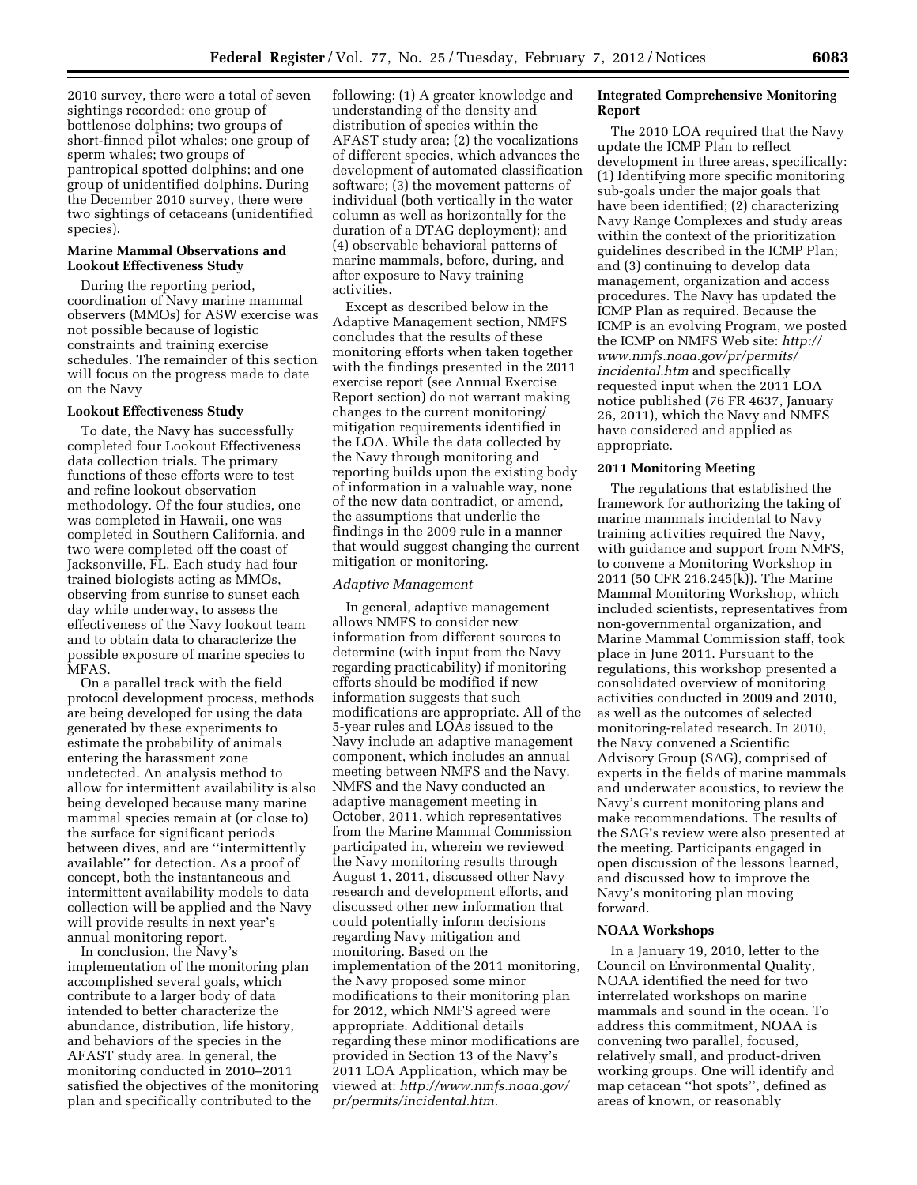2010 survey, there were a total of seven sightings recorded: one group of bottlenose dolphins; two groups of short-finned pilot whales; one group of sperm whales; two groups of pantropical spotted dolphins; and one group of unidentified dolphins. During the December 2010 survey, there were two sightings of cetaceans (unidentified species).

#### **Marine Mammal Observations and Lookout Effectiveness Study**

During the reporting period, coordination of Navy marine mammal observers (MMOs) for ASW exercise was not possible because of logistic constraints and training exercise schedules. The remainder of this section will focus on the progress made to date on the Navy

#### **Lookout Effectiveness Study**

To date, the Navy has successfully completed four Lookout Effectiveness data collection trials. The primary functions of these efforts were to test and refine lookout observation methodology. Of the four studies, one was completed in Hawaii, one was completed in Southern California, and two were completed off the coast of Jacksonville, FL. Each study had four trained biologists acting as MMOs, observing from sunrise to sunset each day while underway, to assess the effectiveness of the Navy lookout team and to obtain data to characterize the possible exposure of marine species to MFAS.

On a parallel track with the field protocol development process, methods are being developed for using the data generated by these experiments to estimate the probability of animals entering the harassment zone undetected. An analysis method to allow for intermittent availability is also being developed because many marine mammal species remain at (or close to) the surface for significant periods between dives, and are ''intermittently available'' for detection. As a proof of concept, both the instantaneous and intermittent availability models to data collection will be applied and the Navy will provide results in next year's annual monitoring report.

In conclusion, the Navy's implementation of the monitoring plan accomplished several goals, which contribute to a larger body of data intended to better characterize the abundance, distribution, life history, and behaviors of the species in the AFAST study area. In general, the monitoring conducted in 2010–2011 satisfied the objectives of the monitoring plan and specifically contributed to the

following: (1) A greater knowledge and understanding of the density and distribution of species within the AFAST study area; (2) the vocalizations of different species, which advances the development of automated classification software; (3) the movement patterns of individual (both vertically in the water column as well as horizontally for the duration of a DTAG deployment); and (4) observable behavioral patterns of marine mammals, before, during, and after exposure to Navy training activities.

Except as described below in the Adaptive Management section, NMFS concludes that the results of these monitoring efforts when taken together with the findings presented in the 2011 exercise report (see Annual Exercise Report section) do not warrant making changes to the current monitoring/ mitigation requirements identified in the LOA. While the data collected by the Navy through monitoring and reporting builds upon the existing body of information in a valuable way, none of the new data contradict, or amend, the assumptions that underlie the findings in the 2009 rule in a manner that would suggest changing the current mitigation or monitoring.

#### *Adaptive Management*

In general, adaptive management allows NMFS to consider new information from different sources to determine (with input from the Navy regarding practicability) if monitoring efforts should be modified if new information suggests that such modifications are appropriate. All of the 5-year rules and LOAs issued to the Navy include an adaptive management component, which includes an annual meeting between NMFS and the Navy. NMFS and the Navy conducted an adaptive management meeting in October, 2011, which representatives from the Marine Mammal Commission participated in, wherein we reviewed the Navy monitoring results through August 1, 2011, discussed other Navy research and development efforts, and discussed other new information that could potentially inform decisions regarding Navy mitigation and monitoring. Based on the implementation of the 2011 monitoring, the Navy proposed some minor modifications to their monitoring plan for 2012, which NMFS agreed were appropriate. Additional details regarding these minor modifications are provided in Section 13 of the Navy's 2011 LOA Application, which may be viewed at: *[http://www.nmfs.noaa.gov/](http://www.nmfs.noaa.gov/pr/permits/incidental.htm) [pr/permits/incidental.htm.](http://www.nmfs.noaa.gov/pr/permits/incidental.htm)* 

# **Integrated Comprehensive Monitoring Report**

The 2010 LOA required that the Navy update the ICMP Plan to reflect development in three areas, specifically: (1) Identifying more specific monitoring sub-goals under the major goals that have been identified; (2) characterizing Navy Range Complexes and study areas within the context of the prioritization guidelines described in the ICMP Plan; and (3) continuing to develop data management, organization and access procedures. The Navy has updated the ICMP Plan as required. Because the ICMP is an evolving Program, we posted the ICMP on NMFS Web site: *[http://](http://www.nmfs.noaa.gov/pr/permits/incidental.htm)  [www.nmfs.noaa.gov/pr/permits/](http://www.nmfs.noaa.gov/pr/permits/incidental.htm) [incidental.htm](http://www.nmfs.noaa.gov/pr/permits/incidental.htm)* and specifically requested input when the 2011 LOA notice published (76 FR 4637, January 26, 2011), which the Navy and NMFS have considered and applied as appropriate.

#### **2011 Monitoring Meeting**

The regulations that established the framework for authorizing the taking of marine mammals incidental to Navy training activities required the Navy, with guidance and support from NMFS, to convene a Monitoring Workshop in 2011 (50 CFR 216.245(k)). The Marine Mammal Monitoring Workshop, which included scientists, representatives from non-governmental organization, and Marine Mammal Commission staff, took place in June 2011. Pursuant to the regulations, this workshop presented a consolidated overview of monitoring activities conducted in 2009 and 2010, as well as the outcomes of selected monitoring-related research. In 2010, the Navy convened a Scientific Advisory Group (SAG), comprised of experts in the fields of marine mammals and underwater acoustics, to review the Navy's current monitoring plans and make recommendations. The results of the SAG's review were also presented at the meeting. Participants engaged in open discussion of the lessons learned, and discussed how to improve the Navy's monitoring plan moving forward.

### **NOAA Workshops**

In a January 19, 2010, letter to the Council on Environmental Quality, NOAA identified the need for two interrelated workshops on marine mammals and sound in the ocean. To address this commitment, NOAA is convening two parallel, focused, relatively small, and product-driven working groups. One will identify and map cetacean ''hot spots'', defined as areas of known, or reasonably